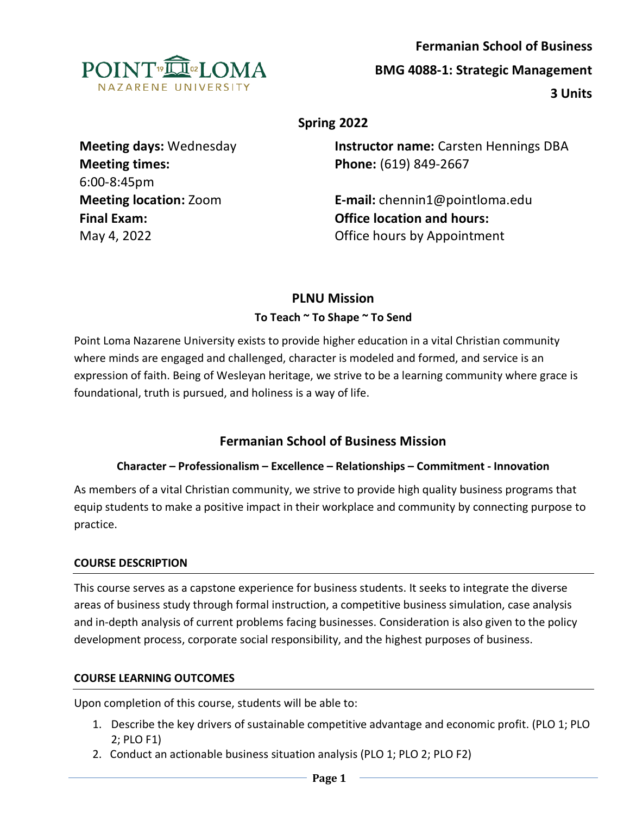

# **Spring 2022**

| <b>Instructor name:</b> Carsten Hennings DBA |
|----------------------------------------------|
| Phone: (619) 849-2667                        |
|                                              |
| <b>E-mail:</b> chennin1@pointloma.edu        |
| <b>Office location and hours:</b>            |
| Office hours by Appointment                  |
|                                              |

# **PLNU Mission To Teach ~ To Shape ~ To Send**

Point Loma Nazarene University exists to provide higher education in a vital Christian community where minds are engaged and challenged, character is modeled and formed, and service is an expression of faith. Being of Wesleyan heritage, we strive to be a learning community where grace is foundational, truth is pursued, and holiness is a way of life.

# **Fermanian School of Business Mission**

## **Character – Professionalism – Excellence – Relationships – Commitment - Innovation**

As members of a vital Christian community, we strive to provide high quality business programs that equip students to make a positive impact in their workplace and community by connecting purpose to practice.

## **COURSE DESCRIPTION**

This course serves as a capstone experience for business students. It seeks to integrate the diverse areas of business study through formal instruction, a competitive business simulation, case analysis and in-depth analysis of current problems facing businesses. Consideration is also given to the policy development process, corporate social responsibility, and the highest purposes of business.

#### **COURSE LEARNING OUTCOMES**

Upon completion of this course, students will be able to:

- 1. Describe the key drivers of sustainable competitive advantage and economic profit. (PLO 1; PLO 2; PLO F1)
- 2. Conduct an actionable business situation analysis (PLO 1; PLO 2; PLO F2)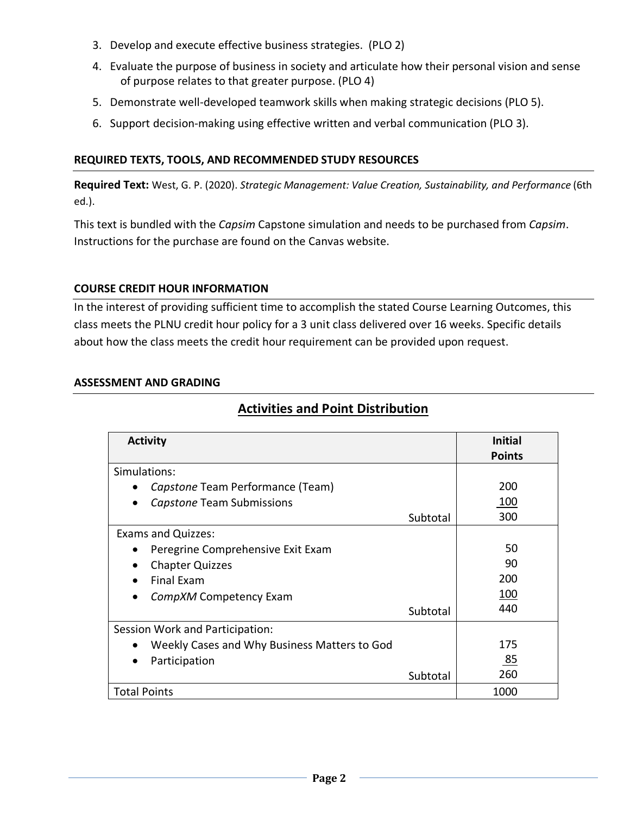- 3. Develop and execute effective business strategies. (PLO 2)
- 4. Evaluate the purpose of business in society and articulate how their personal vision and sense of purpose relates to that greater purpose. (PLO 4)
- 5. Demonstrate well-developed teamwork skills when making strategic decisions (PLO 5).
- 6. Support decision-making using effective written and verbal communication (PLO 3).

## **REQUIRED TEXTS, TOOLS, AND RECOMMENDED STUDY RESOURCES**

**Required Text:** West, G. P. (2020). *Strategic Management: Value Creation, Sustainability, and Performance* (6th ed.).

This text is bundled with the *Capsim* Capstone simulation and needs to be purchased from *Capsim*. Instructions for the purchase are found on the Canvas website.

## **COURSE CREDIT HOUR INFORMATION**

In the interest of providing sufficient time to accomplish the stated Course Learning Outcomes, this class meets the PLNU credit hour policy for a 3 unit class delivered over 16 weeks. Specific details about how the class meets the credit hour requirement can be provided upon request.

### **ASSESSMENT AND GRADING**

| <b>Activity</b>                              | <b>Initial</b> |
|----------------------------------------------|----------------|
|                                              | <b>Points</b>  |
| Simulations:                                 |                |
| Capstone Team Performance (Team)             | 200            |
| Capstone Team Submissions                    | 100            |
| Subtotal                                     | 300            |
| <b>Exams and Quizzes:</b>                    |                |
| Peregrine Comprehensive Exit Exam            | 50             |
| <b>Chapter Quizzes</b>                       | 90             |
| <b>Final Exam</b>                            | 200            |
| CompXM Competency Exam                       | 100            |
| Subtotal                                     | 440            |
| Session Work and Participation:              |                |
| Weekly Cases and Why Business Matters to God | 175            |
| Participation                                | 85             |
| Subtotal                                     | 260            |
| <b>Total Points</b>                          | 1000           |

# **Activities and Point Distribution**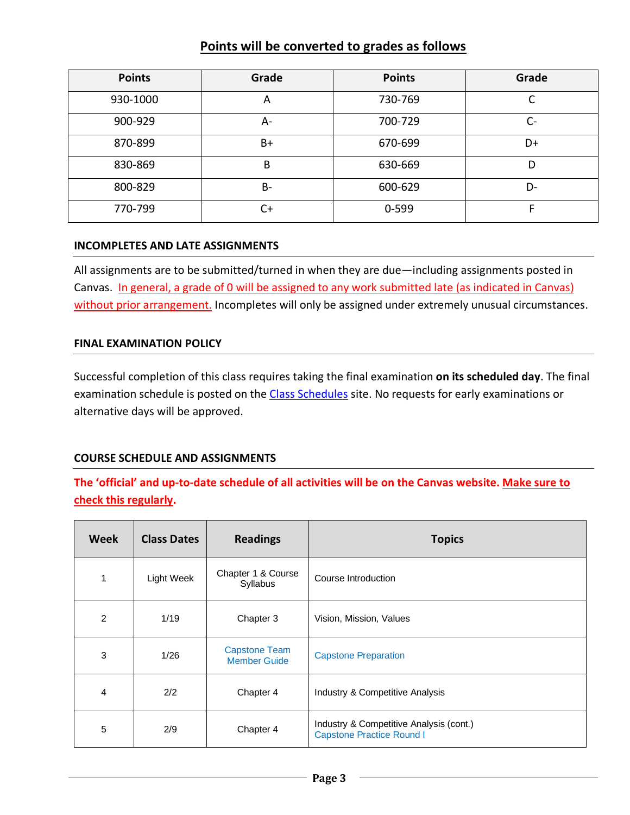# **Points will be converted to grades as follows**

| <b>Points</b> | Grade     | <b>Points</b> | Grade |
|---------------|-----------|---------------|-------|
| 930-1000      | A         | 730-769       | r     |
| 900-929       | А-        | 700-729       | C-    |
| 870-899       | $B+$      | 670-699       | D+    |
| 830-869       | B         | 630-669       | D     |
| 800-829       | <b>B-</b> | 600-629       | D-    |
| 770-799       | $C+$      | 0-599         |       |

#### **INCOMPLETES AND LATE ASSIGNMENTS**

All assignments are to be submitted/turned in when they are due—including assignments posted in Canvas. In general, a grade of 0 will be assigned to any work submitted late (as indicated in Canvas) without prior arrangement. Incompletes will only be assigned under extremely unusual circumstances.

#### **FINAL EXAMINATION POLICY**

Successful completion of this class requires taking the final examination **on its scheduled day**. The final examination schedule is posted on the [Class Schedules](http://www.pointloma.edu/experience/academics/class-schedules) site. No requests for early examinations or alternative days will be approved.

#### **COURSE SCHEDULE AND ASSIGNMENTS**

# **The 'official' and up-to-date schedule of all activities will be on the Canvas website. Make sure to check this regularly.**

| <b>Week</b> | <b>Class Dates</b> | <b>Readings</b>                             | <b>Topics</b>                                                               |
|-------------|--------------------|---------------------------------------------|-----------------------------------------------------------------------------|
| 1           | Light Week         | Chapter 1 & Course<br>Syllabus              | Course Introduction                                                         |
| 2           | 1/19               | Chapter 3                                   | Vision, Mission, Values                                                     |
| 3           | 1/26               | <b>Capstone Team</b><br><b>Member Guide</b> | <b>Capstone Preparation</b>                                                 |
| 4           | 2/2                | Chapter 4                                   | Industry & Competitive Analysis                                             |
| 5           | 2/9                | Chapter 4                                   | Industry & Competitive Analysis (cont.)<br><b>Capstone Practice Round I</b> |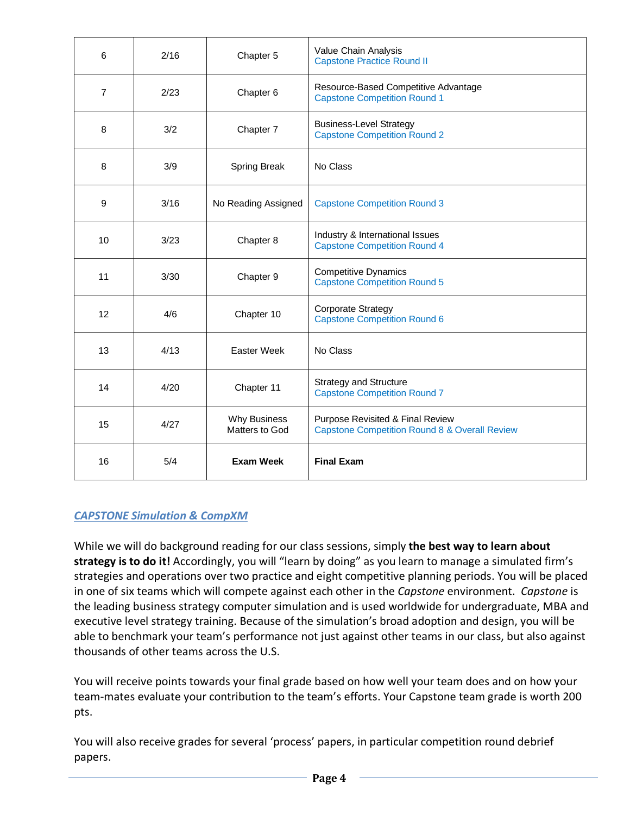| 6              | 2/16 | Chapter 5                             | Value Chain Analysis<br><b>Capstone Practice Round II</b>                                    |
|----------------|------|---------------------------------------|----------------------------------------------------------------------------------------------|
| $\overline{7}$ | 2/23 | Chapter 6                             | Resource-Based Competitive Advantage<br><b>Capstone Competition Round 1</b>                  |
| 8              | 3/2  | Chapter 7                             | <b>Business-Level Strategy</b><br><b>Capstone Competition Round 2</b>                        |
| 8              | 3/9  | <b>Spring Break</b>                   | No Class                                                                                     |
| 9              | 3/16 | No Reading Assigned                   | <b>Capstone Competition Round 3</b>                                                          |
| 10             | 3/23 | Chapter 8                             | Industry & International Issues<br><b>Capstone Competition Round 4</b>                       |
| 11             | 3/30 | Chapter 9                             | <b>Competitive Dynamics</b><br><b>Capstone Competition Round 5</b>                           |
| 12             | 4/6  | Chapter 10                            | <b>Corporate Strategy</b><br><b>Capstone Competition Round 6</b>                             |
| 13             | 4/13 | <b>Easter Week</b>                    | No Class                                                                                     |
| 14             | 4/20 | Chapter 11                            | <b>Strategy and Structure</b><br><b>Capstone Competition Round 7</b>                         |
| 15             | 4/27 | <b>Why Business</b><br>Matters to God | Purpose Revisited & Final Review<br><b>Capstone Competition Round 8 &amp; Overall Review</b> |
| 16             | 5/4  | <b>Exam Week</b>                      | <b>Final Exam</b>                                                                            |

# *CAPSTONE Simulation & CompXM*

While we will do background reading for our class sessions, simply **the best way to learn about strategy is to do it!** Accordingly, you will "learn by doing" as you learn to manage a simulated firm's strategies and operations over two practice and eight competitive planning periods. You will be placed in one of six teams which will compete against each other in the *Capstone* environment. *Capstone* is the leading business strategy computer simulation and is used worldwide for undergraduate, MBA and executive level strategy training. Because of the simulation's broad adoption and design, you will be able to benchmark your team's performance not just against other teams in our class, but also against thousands of other teams across the U.S.

You will receive points towards your final grade based on how well your team does and on how your team-mates evaluate your contribution to the team's efforts. Your Capstone team grade is worth 200 pts.

You will also receive grades for several 'process' papers, in particular competition round debrief papers.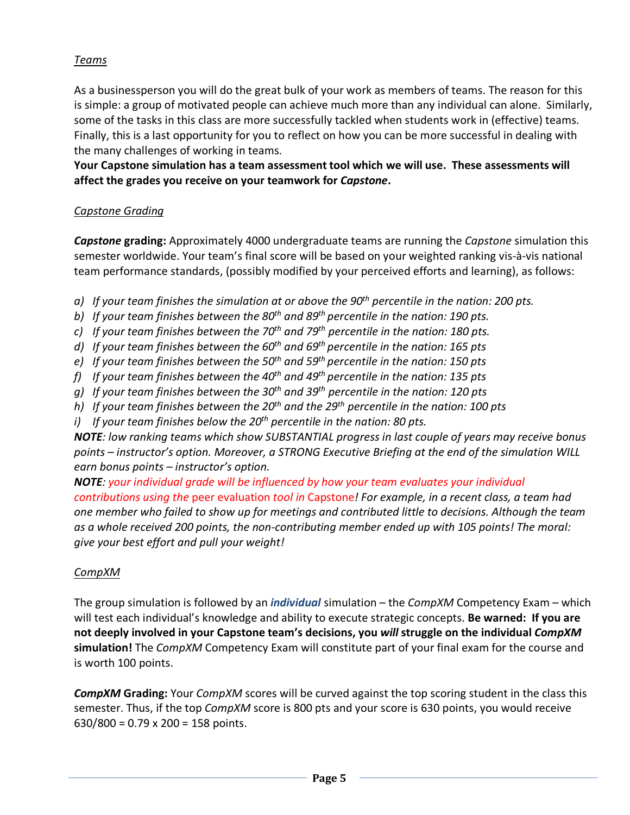# *Teams*

As a businessperson you will do the great bulk of your work as members of teams. The reason for this is simple: a group of motivated people can achieve much more than any individual can alone. Similarly, some of the tasks in this class are more successfully tackled when students work in (effective) teams. Finally, this is a last opportunity for you to reflect on how you can be more successful in dealing with the many challenges of working in teams.

**Your Capstone simulation has a team assessment tool which we will use. These assessments will affect the grades you receive on your teamwork for** *Capstone***.** 

### *Capstone Grading*

*Capstone* **grading:** Approximately 4000 undergraduate teams are running the *Capstone* simulation this semester worldwide. Your team's final score will be based on your weighted ranking vis-à-vis national team performance standards, (possibly modified by your perceived efforts and learning), as follows:

- *a) If your team finishes the simulation at or above the 90th percentile in the nation: 200 pts.*
- *b) If your team finishes between the 80th and 89th percentile in the nation: 190 pts.*
- *c) If your team finishes between the 70th and 79th percentile in the nation: 180 pts.*
- *d) If your team finishes between the 60th and 69th percentile in the nation: 165 pts*
- *e) If your team finishes between the 50th and 59th percentile in the nation: 150 pts*
- *f) If your team finishes between the 40th and 49th percentile in the nation: 135 pts*
- *g) If your team finishes between the 30th and 39th percentile in the nation: 120 pts*
- *h) If your team finishes between the 20th and the 29th percentile in the nation: 100 pts*
- *i) If your team finishes below the 20th percentile in the nation: 80 pts.*

*NOTE: low ranking teams which show SUBSTANTIAL progress in last couple of years may receive bonus points – instructor's option. Moreover, a STRONG Executive Briefing at the end of the simulation WILL earn bonus points – instructor's option.* 

*NOTE: your individual grade will be influenced by how your team evaluates your individual contributions using the* peer evaluation *tool in* Capstone*! For example, in a recent class, a team had one member who failed to show up for meetings and contributed little to decisions. Although the team as a whole received 200 points, the non-contributing member ended up with 105 points! The moral: give your best effort and pull your weight!*

## *CompXM*

The group simulation is followed by an *individual* simulation – the *CompXM* Competency Exam – which will test each individual's knowledge and ability to execute strategic concepts. **Be warned: If you are not deeply involved in your Capstone team's decisions, you** *will* **struggle on the individual** *CompXM* **simulation!** The *CompXM* Competency Exam will constitute part of your final exam for the course and is worth 100 points.

*CompXM* **Grading:** Your *CompXM* scores will be curved against the top scoring student in the class this semester. Thus, if the top *CompXM* score is 800 pts and your score is 630 points, you would receive 630/800 = 0.79 x 200 = 158 points.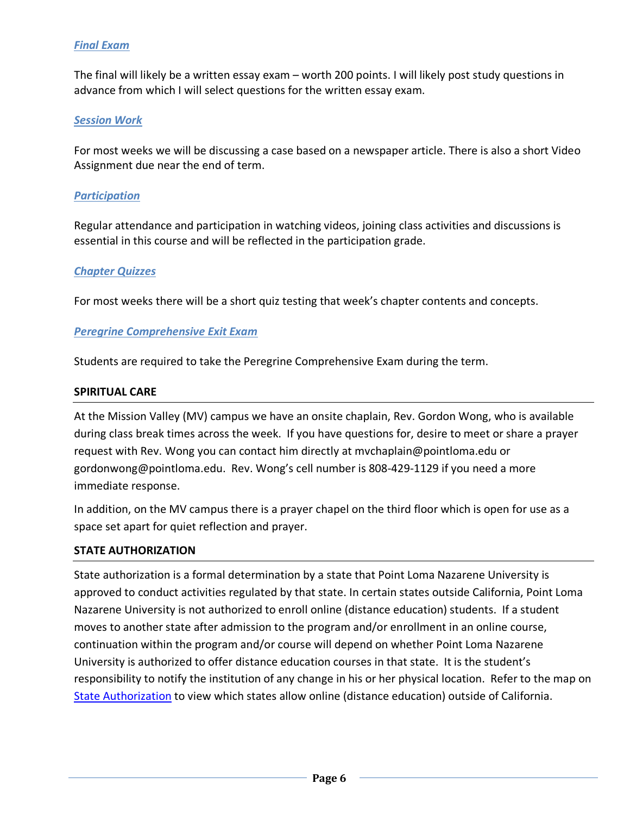## *Final Exam*

The final will likely be a written essay exam – worth 200 points. I will likely post study questions in advance from which I will select questions for the written essay exam.

#### *Session Work*

For most weeks we will be discussing a case based on a newspaper article. There is also a short Video Assignment due near the end of term.

#### *Participation*

Regular attendance and participation in watching videos, joining class activities and discussions is essential in this course and will be reflected in the participation grade.

#### *Chapter Quizzes*

For most weeks there will be a short quiz testing that week's chapter contents and concepts.

#### *Peregrine Comprehensive Exit Exam*

Students are required to take the Peregrine Comprehensive Exam during the term.

#### **SPIRITUAL CARE**

At the Mission Valley (MV) campus we have an onsite chaplain, Rev. Gordon Wong, who is available during class break times across the week. If you have questions for, desire to meet or share a prayer request with Rev. Wong you can contact him directly at mvchaplain@pointloma.edu or gordonwong@pointloma.edu. Rev. Wong's cell number is 808-429-1129 if you need a more immediate response.

In addition, on the MV campus there is a prayer chapel on the third floor which is open for use as a space set apart for quiet reflection and prayer.

#### **STATE AUTHORIZATION**

State authorization is a formal determination by a state that Point Loma Nazarene University is approved to conduct activities regulated by that state. In certain states outside California, Point Loma Nazarene University is not authorized to enroll online (distance education) students. If a student moves to another state after admission to the program and/or enrollment in an online course, continuation within the program and/or course will depend on whether Point Loma Nazarene University is authorized to offer distance education courses in that state. It is the student's responsibility to notify the institution of any change in his or her physical location. Refer to the map on [State Authorization](https://www.pointloma.edu/offices/office-institutional-effectiveness-research/disclosures) to view which states allow online (distance education) outside of California.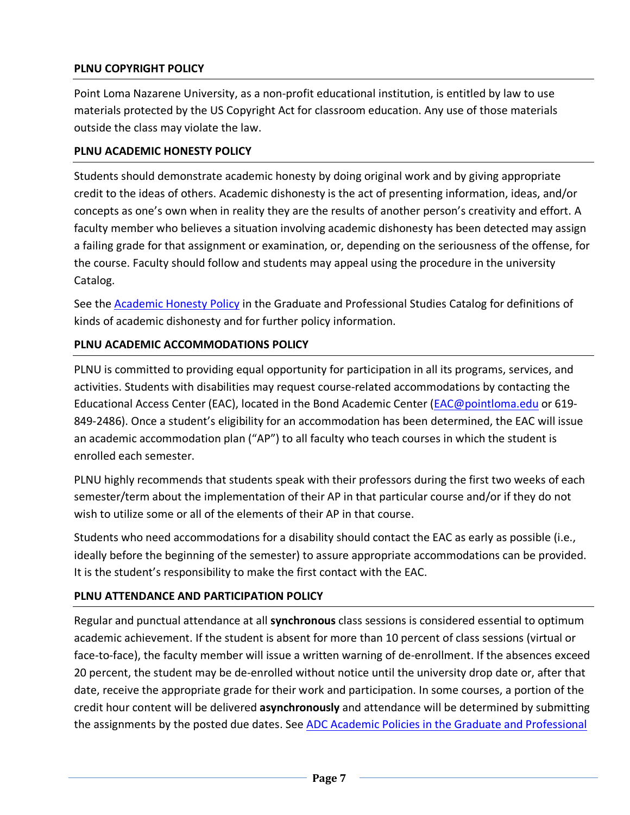## **PLNU COPYRIGHT POLICY**

Point Loma Nazarene University, as a non-profit educational institution, is entitled by law to use materials protected by the US Copyright Act for classroom education. Any use of those materials outside the class may violate the law.

### **PLNU ACADEMIC HONESTY POLICY**

Students should demonstrate academic honesty by doing original work and by giving appropriate credit to the ideas of others. Academic dishonesty is the act of presenting information, ideas, and/or concepts as one's own when in reality they are the results of another person's creativity and effort. A faculty member who believes a situation involving academic dishonesty has been detected may assign a failing grade for that assignment or examination, or, depending on the seriousness of the offense, for the course. Faculty should follow and students may appeal using the procedure in the university Catalog.

See the [Academic Honesty Policy](https://catalog.pointloma.edu/content.php?catoid=54&navoid=3048#Academic_Honesty) in the Graduate and Professional Studies Catalog for definitions of kinds of academic dishonesty and for further policy information.

## **PLNU ACADEMIC ACCOMMODATIONS POLICY**

PLNU is committed to providing equal opportunity for participation in all its programs, services, and activities. Students with disabilities may request course-related accommodations by contacting the Educational Access Center (EAC), located in the Bond Academic Center [\(EAC@pointloma.edu](mailto:EAC@pointloma.edu) or 619- 849-2486). Once a student's eligibility for an accommodation has been determined, the EAC will issue an academic accommodation plan ("AP") to all faculty who teach courses in which the student is enrolled each semester.

PLNU highly recommends that students speak with their professors during the first two weeks of each semester/term about the implementation of their AP in that particular course and/or if they do not wish to utilize some or all of the elements of their AP in that course.

Students who need accommodations for a disability should contact the EAC as early as possible (i.e., ideally before the beginning of the semester) to assure appropriate accommodations can be provided. It is the student's responsibility to make the first contact with the EAC.

## **PLNU ATTENDANCE AND PARTICIPATION POLICY**

Regular and punctual attendance at all **synchronous** class sessions is considered essential to optimum academic achievement. If the student is absent for more than 10 percent of class sessions (virtual or face-to-face), the faculty member will issue a written warning of de-enrollment. If the absences exceed 20 percent, the student may be de-enrolled without notice until the university drop date or, after that date, receive the appropriate grade for their work and participation. In some courses, a portion of the credit hour content will be delivered **asynchronously** and attendance will be determined by submitting the assignments by the posted due dates. See [ADC Academic Policies in the Graduate and Professional](https://catalog.pointloma.edu/content.php?catoid=54&navoid=3033#acadhonesty)